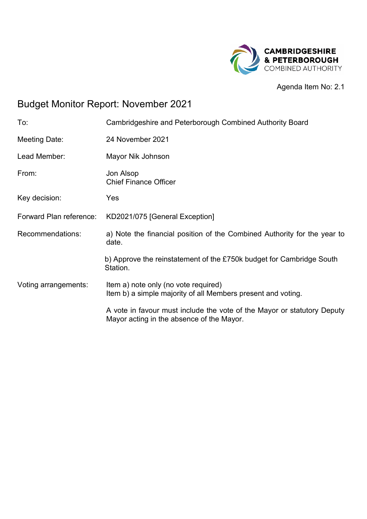

Agenda Item No: 2.1

# Budget Monitor Report: November 2021

| To:                     | Cambridgeshire and Peterborough Combined Authority Board                                                             |
|-------------------------|----------------------------------------------------------------------------------------------------------------------|
| Meeting Date:           | 24 November 2021                                                                                                     |
| Lead Member:            | Mayor Nik Johnson                                                                                                    |
| From:                   | Jon Alsop<br><b>Chief Finance Officer</b>                                                                            |
| Key decision:           | Yes                                                                                                                  |
| Forward Plan reference: | KD2021/075 [General Exception]                                                                                       |
| Recommendations:        | a) Note the financial position of the Combined Authority for the year to<br>date.                                    |
|                         | b) Approve the reinstatement of the £750k budget for Cambridge South<br>Station.                                     |
| Voting arrangements:    | Item a) note only (no vote required)<br>Item b) a simple majority of all Members present and voting.                 |
|                         | A vote in favour must include the vote of the Mayor or statutory Deputy<br>Mayor acting in the absence of the Mayor. |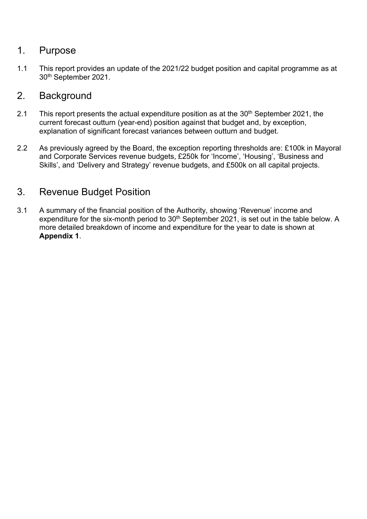### 1. Purpose

1.1 This report provides an update of the 2021/22 budget position and capital programme as at 30th September 2021.

### 2. Background

- 2.1 This report presents the actual expenditure position as at the  $30<sup>th</sup>$  September 2021, the current forecast outturn (year-end) position against that budget and, by exception, explanation of significant forecast variances between outturn and budget.
- 2.2 As previously agreed by the Board, the exception reporting thresholds are: £100k in Mayoral and Corporate Services revenue budgets, £250k for 'Income', 'Housing', 'Business and Skills', and 'Delivery and Strategy' revenue budgets, and £500k on all capital projects.

## 3. Revenue Budget Position

3.1 A summary of the financial position of the Authority, showing 'Revenue' income and expenditure for the six-month period to  $30<sup>th</sup>$  September 2021, is set out in the table below. A more detailed breakdown of income and expenditure for the year to date is shown at **Appendix 1**.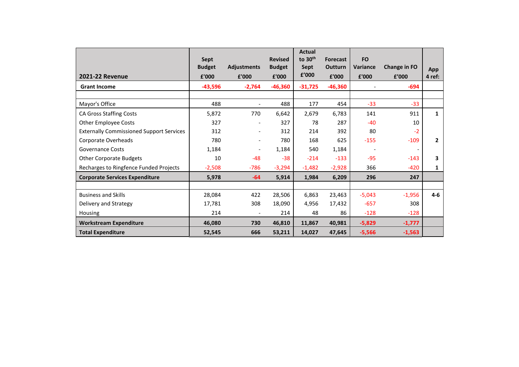| <b>2021-22 Revenue</b>                          | <b>Sept</b><br><b>Budget</b><br>£'000 | <b>Adjustments</b><br>£'000 | <b>Revised</b><br><b>Budget</b><br>£'000 | <b>Actual</b><br>to 30 <sup>th</sup><br>Sept<br>£'000 | <b>Forecast</b><br><b>Outturn</b><br>£'000 | <b>FO</b><br><b>Variance</b><br>£'000 | <b>Change in FO</b><br>f'000 | App<br>4 ref:  |
|-------------------------------------------------|---------------------------------------|-----------------------------|------------------------------------------|-------------------------------------------------------|--------------------------------------------|---------------------------------------|------------------------------|----------------|
| <b>Grant Income</b>                             | $-43,596$                             | $-2,764$                    | $-46,360$                                | $-31,725$                                             | $-46,360$                                  |                                       | $-694$                       |                |
|                                                 |                                       |                             |                                          |                                                       |                                            |                                       |                              |                |
| Mayor's Office                                  | 488                                   |                             | 488                                      | 177                                                   | 454                                        | $-33$                                 | $-33$                        |                |
| <b>CA Gross Staffing Costs</b>                  | 5,872                                 | 770                         | 6,642                                    | 2,679                                                 | 6,783                                      | 141                                   | 911                          | $\mathbf{1}$   |
| <b>Other Employee Costs</b>                     | 327                                   | $\overline{\phantom{a}}$    | 327                                      | 78                                                    | 287                                        | $-40$                                 | 10                           |                |
| <b>Externally Commissioned Support Services</b> | 312                                   | $\overline{\phantom{a}}$    | 312                                      | 214                                                   | 392                                        | 80                                    | $-2$                         |                |
| Corporate Overheads                             | 780                                   | $\overline{\phantom{a}}$    | 780                                      | 168                                                   | 625                                        | $-155$                                | $-109$                       | $\overline{2}$ |
| <b>Governance Costs</b>                         | 1,184                                 | $\overline{\phantom{a}}$    | 1,184                                    | 540                                                   | 1,184                                      | $\overline{\phantom{a}}$              | $\overline{\phantom{a}}$     |                |
| <b>Other Corporate Budgets</b>                  | 10                                    | $-48$                       | $-38$                                    | $-214$                                                | $-133$                                     | $-95$                                 | $-143$                       | 3              |
| Recharges to Ringfence Funded Projects          | $-2,508$                              | $-786$                      | $-3,294$                                 | $-1,482$                                              | $-2,928$                                   | 366                                   | $-420$                       | 1              |
| <b>Corporate Services Expenditure</b>           | 5,978                                 | $-64$                       | 5,914                                    | 1,984                                                 | 6,209                                      | 296                                   | 247                          |                |
|                                                 |                                       |                             |                                          |                                                       |                                            |                                       |                              |                |
| <b>Business and Skills</b>                      | 28,084                                | 422                         | 28,506                                   | 6,863                                                 | 23,463                                     | $-5,043$                              | $-1,956$                     | $4 - 6$        |
| Delivery and Strategy                           | 17,781                                | 308                         | 18,090                                   | 4,956                                                 | 17,432                                     | $-657$                                | 308                          |                |
| Housing                                         | 214                                   | $\blacksquare$              | 214                                      | 48                                                    | 86                                         | $-128$                                | $-128$                       |                |
| <b>Workstream Expenditure</b>                   | 46,080                                | 730                         | 46,810                                   | 11,867                                                | 40,981                                     | $-5,829$                              | $-1,777$                     |                |
| <b>Total Expenditure</b>                        | 52,545                                | 666                         | 53,211                                   | 14,027                                                | 47,645                                     | $-5,566$                              | $-1,563$                     |                |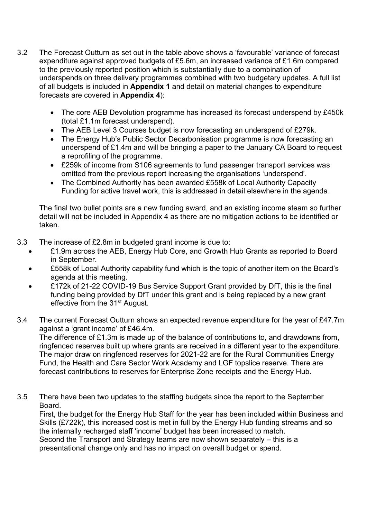- 3.2 The Forecast Outturn as set out in the table above shows a 'favourable' variance of forecast expenditure against approved budgets of £5.6m, an increased variance of £1.6m compared to the previously reported position which is substantially due to a combination of underspends on three delivery programmes combined with two budgetary updates. A full list of all budgets is included in **Appendix 1** and detail on material changes to expenditure forecasts are covered in **Appendix 4**):
	- The core AEB Devolution programme has increased its forecast underspend by £450k (total £1.1m forecast underspend).
	- The AEB Level 3 Courses budget is now forecasting an underspend of £279k.
	- The Energy Hub's Public Sector Decarbonisation programme is now forecasting an underspend of £1.4m and will be bringing a paper to the January CA Board to request a reprofiling of the programme.
	- £259k of income from S106 agreements to fund passenger transport services was omitted from the previous report increasing the organisations 'underspend'.
	- The Combined Authority has been awarded £558k of Local Authority Capacity Funding for active travel work, this is addressed in detail elsewhere in the agenda.

The final two bullet points are a new funding award, and an existing income steam so further detail will not be included in Appendix 4 as there are no mitigation actions to be identified or taken.

- 3.3 The increase of £2.8m in budgeted grant income is due to:
	- £1.9m across the AEB, Energy Hub Core, and Growth Hub Grants as reported to Board in September.
	- £558k of Local Authority capability fund which is the topic of another item on the Board's agenda at this meeting.
	- £172k of 21-22 COVID-19 Bus Service Support Grant provided by DfT, this is the final funding being provided by DfT under this grant and is being replaced by a new grant effective from the 31st August.
- 3.4 The current Forecast Outturn shows an expected revenue expenditure for the year of £47.7m against a 'grant income' of £46.4m.

The difference of £1.3m is made up of the balance of contributions to, and drawdowns from, ringfenced reserves built up where grants are received in a different year to the expenditure. The major draw on ringfenced reserves for 2021-22 are for the Rural Communities Energy Fund, the Health and Care Sector Work Academy and LGF topslice reserve. There are forecast contributions to reserves for Enterprise Zone receipts and the Energy Hub.

3.5 There have been two updates to the staffing budgets since the report to the September Board.

First, the budget for the Energy Hub Staff for the year has been included within Business and Skills (£722k), this increased cost is met in full by the Energy Hub funding streams and so the internally recharged staff 'income' budget has been increased to match. Second the Transport and Strategy teams are now shown separately – this is a presentational change only and has no impact on overall budget or spend.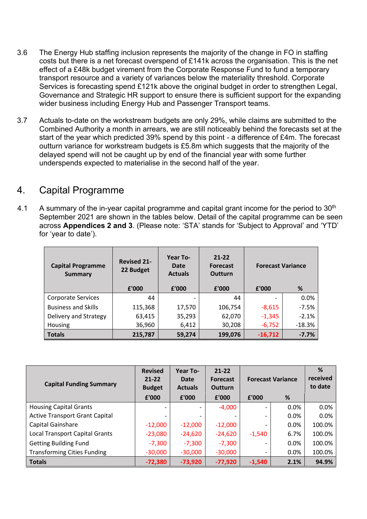- 3.6 The Energy Hub staffing inclusion represents the majority of the change in FO in staffing costs but there is a net forecast overspend of £141k across the organisation. This is the net effect of a £48k budget virement from the Corporate Response Fund to fund a temporary transport resource and a variety of variances below the materiality threshold. Corporate Services is forecasting spend £121k above the original budget in order to strengthen Legal, Governance and Strategic HR support to ensure there is sufficient support for the expanding wider business including Energy Hub and Passenger Transport teams.
- 3.7 Actuals to-date on the workstream budgets are only 29%, while claims are submitted to the Combined Authority a month in arrears, we are still noticeably behind the forecasts set at the start of the year which predicted 39% spend by this point - a difference of £4m. The forecast outturn variance for workstream budgets is £5.8m which suggests that the majority of the delayed spend will not be caught up by end of the financial year with some further underspends expected to materialise in the second half of the year.

### 4. Capital Programme

4.1 A summary of the in-year capital programme and capital grant income for the period to  $30<sup>th</sup>$ September 2021 are shown in the tables below. Detail of the capital programme can be seen across **Appendices 2 and 3**. (Please note: 'STA' stands for 'Subject to Approval' and 'YTD' for 'year to date').

| <b>Capital Programme</b><br>Summary | <b>Revised 21-</b><br>22 Budget<br>£'000 | Year To-<br>Date<br><b>Actuals</b><br>£'000 | $21 - 22$<br><b>Forecast</b><br><b>Outturn</b><br>£'000 | <b>Forecast Variance</b><br>£'000 | %        |
|-------------------------------------|------------------------------------------|---------------------------------------------|---------------------------------------------------------|-----------------------------------|----------|
| <b>Corporate Services</b>           | 44                                       |                                             | 44                                                      |                                   | 0.0%     |
| <b>Business and Skills</b>          | 115,368                                  | 17,570                                      | 106,754                                                 | $-8,615$                          | $-7.5%$  |
| Delivery and Strategy               | 63,415                                   | 35,293                                      | 62,070                                                  | $-1,345$                          | $-2.1%$  |
| Housing                             | 36,960                                   | 6,412                                       | 30,208                                                  | $-6,752$                          | $-18.3%$ |
| <b>Totals</b>                       | 215,787                                  | 59,274                                      | 199,076                                                 | $-16,712$                         | $-7.7%$  |

| <b>Capital Funding Summary</b>        | <b>Revised</b><br>$21 - 22$<br><b>Budget</b> | Year To-<br>Date<br><b>Actuals</b> | $21 - 22$<br><b>Forecast</b><br>Outturn |          | <b>Forecast Variance</b> |        |
|---------------------------------------|----------------------------------------------|------------------------------------|-----------------------------------------|----------|--------------------------|--------|
|                                       | £'000                                        | £'000                              | £'000                                   | f'000    | %                        |        |
| <b>Housing Capital Grants</b>         |                                              | $\overline{\phantom{a}}$           | $-4,000$                                |          | $0.0\%$                  | 0.0%   |
| <b>Active Transport Grant Capital</b> |                                              |                                    |                                         |          | $0.0\%$                  | 0.0%   |
| Capital Gainshare                     | $-12,000$                                    | $-12,000$                          | $-12,000$                               |          | 0.0%                     | 100.0% |
| <b>Local Transport Capital Grants</b> | $-23,080$                                    | $-24,620$                          | $-24,620$                               | $-1,540$ | 6.7%                     | 100.0% |
| <b>Getting Building Fund</b>          | $-7,300$                                     | $-7,300$                           | $-7,300$                                |          | $0.0\%$                  | 100.0% |
| <b>Transforming Cities Funding</b>    | $-30,000$                                    | $-30,000$                          | $-30,000$                               |          | 0.0%                     | 100.0% |
| <b>Totals</b>                         | $-72,380$                                    | $-73,920$                          | $-77,920$                               | $-1,540$ | 2.1%                     | 94.9%  |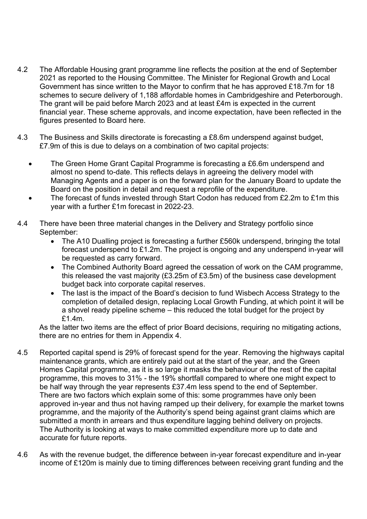- 4.2 The Affordable Housing grant programme line reflects the position at the end of September 2021 as reported to the Housing Committee. The Minister for Regional Growth and Local Government has since written to the Mayor to confirm that he has approved £18.7m for 18 schemes to secure delivery of 1,188 affordable homes in Cambridgeshire and Peterborough. The grant will be paid before March 2023 and at least £4m is expected in the current financial year. These scheme approvals, and income expectation, have been reflected in the figures presented to Board here.
- 4.3 The Business and Skills directorate is forecasting a £8.6m underspend against budget, £7.9m of this is due to delays on a combination of two capital projects:
	- The Green Home Grant Capital Programme is forecasting a £6.6m underspend and almost no spend to-date. This reflects delays in agreeing the delivery model with Managing Agents and a paper is on the forward plan for the January Board to update the Board on the position in detail and request a reprofile of the expenditure.
	- The forecast of funds invested through Start Codon has reduced from £2.2m to £1m this year with a further £1m forecast in 2022-23.
- 4.4 There have been three material changes in the Delivery and Strategy portfolio since September:
	- The A10 Dualling project is forecasting a further £560k underspend, bringing the total forecast underspend to £1.2m. The project is ongoing and any underspend in-year will be requested as carry forward.
	- The Combined Authority Board agreed the cessation of work on the CAM programme, this released the vast majority (£3.25m of £3.5m) of the business case development budget back into corporate capital reserves.
	- The last is the impact of the Board's decision to fund Wisbech Access Strategy to the completion of detailed design, replacing Local Growth Funding, at which point it will be a shovel ready pipeline scheme – this reduced the total budget for the project by £1.4m.

As the latter two items are the effect of prior Board decisions, requiring no mitigating actions, there are no entries for them in Appendix 4.

- 4.5 Reported capital spend is 29% of forecast spend for the year. Removing the highways capital maintenance grants, which are entirely paid out at the start of the year, and the Green Homes Capital programme, as it is so large it masks the behaviour of the rest of the capital programme, this moves to 31% - the 19% shortfall compared to where one might expect to be half way through the year represents £37.4m less spend to the end of September. There are two factors which explain some of this: some programmes have only been approved in-year and thus not having ramped up their delivery, for example the market towns programme, and the majority of the Authority's spend being against grant claims which are submitted a month in arrears and thus expenditure lagging behind delivery on projects. The Authority is looking at ways to make committed expenditure more up to date and accurate for future reports.
- 4.6 As with the revenue budget, the difference between in-year forecast expenditure and in-year income of £120m is mainly due to timing differences between receiving grant funding and the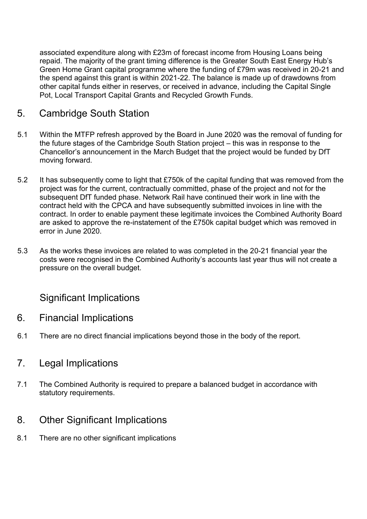associated expenditure along with £23m of forecast income from Housing Loans being repaid. The majority of the grant timing difference is the Greater South East Energy Hub's Green Home Grant capital programme where the funding of £79m was received in 20-21 and the spend against this grant is within 2021-22. The balance is made up of drawdowns from other capital funds either in reserves, or received in advance, including the Capital Single Pot, Local Transport Capital Grants and Recycled Growth Funds.

## 5. Cambridge South Station

- 5.1 Within the MTFP refresh approved by the Board in June 2020 was the removal of funding for the future stages of the Cambridge South Station project – this was in response to the Chancellor's announcement in the March Budget that the project would be funded by DfT moving forward.
- 5.2 It has subsequently come to light that £750k of the capital funding that was removed from the project was for the current, contractually committed, phase of the project and not for the subsequent DfT funded phase. Network Rail have continued their work in line with the contract held with the CPCA and have subsequently submitted invoices in line with the contract. In order to enable payment these legitimate invoices the Combined Authority Board are asked to approve the re-instatement of the £750k capital budget which was removed in error in June 2020.
- 5.3 As the works these invoices are related to was completed in the 20-21 financial year the costs were recognised in the Combined Authority's accounts last year thus will not create a pressure on the overall budget.

## Significant Implications

- 6. Financial Implications
- 6.1 There are no direct financial implications beyond those in the body of the report.

## 7. Legal Implications

7.1 The Combined Authority is required to prepare a balanced budget in accordance with statutory requirements.

## 8. Other Significant Implications

8.1 There are no other significant implications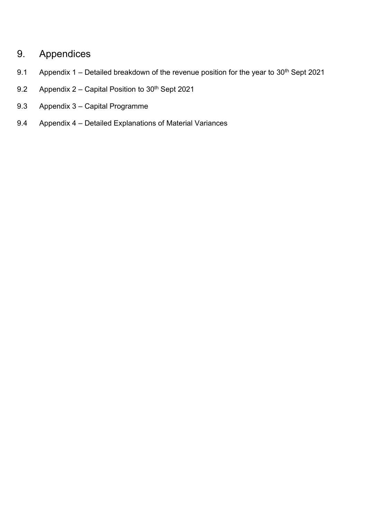## 9. Appendices

- 9.1 Appendix 1 Detailed breakdown of the revenue position for the year to  $30<sup>th</sup>$  Sept 2021
- 9.2 Appendix  $2 -$  Capital Position to  $30<sup>th</sup>$  Sept 2021
- 9.3 Appendix 3 Capital Programme
- 9.4 Appendix 4 Detailed Explanations of Material Variances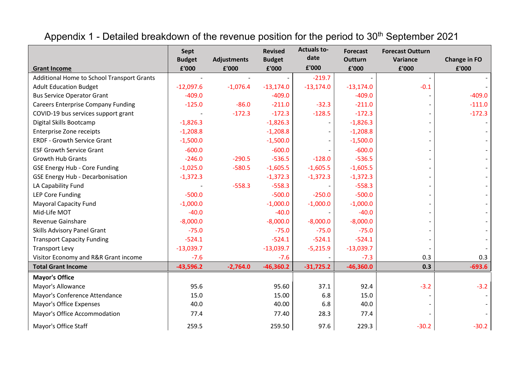# Appendix 1 - Detailed breakdown of the revenue position for the period to 30<sup>th</sup> September 2021

|                                                   | <b>Sept</b>            |                             | <b>Revised</b>         | <b>Actuals to-</b><br>date | <b>Forecast</b>         | <b>Forecast Outturn</b> |                              |
|---------------------------------------------------|------------------------|-----------------------------|------------------------|----------------------------|-------------------------|-------------------------|------------------------------|
| <b>Grant Income</b>                               | <b>Budget</b><br>£'000 | <b>Adjustments</b><br>£'000 | <b>Budget</b><br>£'000 | £'000                      | <b>Outturn</b><br>£'000 | Variance<br>£'000       | <b>Change in FO</b><br>£'000 |
| <b>Additional Home to School Transport Grants</b> |                        |                             |                        | $-219.7$                   |                         |                         |                              |
| <b>Adult Education Budget</b>                     | $-12,097.6$            | $-1,076.4$                  | $-13,174.0$            | $-13,174.0$                | $-13,174.0$             | $-0.1$                  |                              |
| <b>Bus Service Operator Grant</b>                 | $-409.0$               |                             | $-409.0$               |                            | $-409.0$                |                         | $-409.0$                     |
| <b>Careers Enterprise Company Funding</b>         | $-125.0$               | $-86.0$                     | $-211.0$               | $-32.3$                    | $-211.0$                |                         | $-111.0$                     |
| COVID-19 bus services support grant               |                        | $-172.3$                    | $-172.3$               | $-128.5$                   | $-172.3$                |                         | $-172.3$                     |
| Digital Skills Bootcamp                           | $-1,826.3$             |                             | $-1,826.3$             |                            | $-1,826.3$              |                         |                              |
| <b>Enterprise Zone receipts</b>                   | $-1,208.8$             |                             | $-1,208.8$             |                            | $-1,208.8$              |                         |                              |
| <b>ERDF - Growth Service Grant</b>                | $-1,500.0$             |                             | $-1,500.0$             |                            | $-1,500.0$              |                         |                              |
| <b>ESF Growth Service Grant</b>                   | $-600.0$               |                             | $-600.0$               |                            | $-600.0$                |                         |                              |
| Growth Hub Grants                                 | $-246.0$               | $-290.5$                    | $-536.5$               | $-128.0$                   | $-536.5$                |                         |                              |
| <b>GSE Energy Hub - Core Funding</b>              | $-1,025.0$             | $-580.5$                    | $-1,605.5$             | $-1,605.5$                 | $-1,605.5$              |                         |                              |
| <b>GSE Energy Hub - Decarbonisation</b>           | $-1,372.3$             |                             | $-1,372.3$             | $-1,372.3$                 | $-1,372.3$              |                         |                              |
| LA Capability Fund                                |                        | $-558.3$                    | $-558.3$               |                            | $-558.3$                |                         |                              |
| <b>LEP Core Funding</b>                           | $-500.0$               |                             | $-500.0$               | $-250.0$                   | $-500.0$                |                         |                              |
| <b>Mayoral Capacity Fund</b>                      | $-1,000.0$             |                             | $-1,000.0$             | $-1,000.0$                 | $-1,000.0$              |                         |                              |
| Mid-Life MOT                                      | $-40.0$                |                             | $-40.0$                |                            | $-40.0$                 |                         |                              |
| Revenue Gainshare                                 | $-8,000.0$             |                             | $-8,000.0$             | $-8,000.0$                 | $-8,000.0$              |                         |                              |
| <b>Skills Advisory Panel Grant</b>                | $-75.0$                |                             | $-75.0$                | $-75.0$                    | $-75.0$                 |                         |                              |
| <b>Transport Capacity Funding</b>                 | $-524.1$               |                             | $-524.1$               | $-524.1$                   | $-524.1$                |                         |                              |
| <b>Transport Levy</b>                             | $-13,039.7$            |                             | $-13,039.7$            | $-5,215.9$                 | $-13,039.7$             |                         |                              |
| Visitor Economy and R&R Grant income              | $-7.6$                 |                             | $-7.6$                 |                            | $-7.3$                  | 0.3                     | 0.3                          |
| <b>Total Grant Income</b>                         | $-43,596.2$            | $-2,764.0$                  | $-46,360.2$            | $-31,725.2$                | $-46,360.0$             | 0.3                     | $-693.6$                     |
| <b>Mayor's Office</b>                             |                        |                             |                        |                            |                         |                         |                              |
| Mayor's Allowance                                 | 95.6                   |                             | 95.60                  | 37.1                       | 92.4                    | $-3.2$                  | $-3.2$                       |
| Mayor's Conference Attendance                     | 15.0                   |                             | 15.00                  | 6.8                        | 15.0                    |                         |                              |
| Mayor's Office Expenses                           | 40.0                   |                             | 40.00                  | 6.8                        | 40.0                    |                         |                              |
| Mayor's Office Accommodation                      | 77.4                   |                             | 77.40                  | 28.3                       | 77.4                    |                         |                              |
| Mayor's Office Staff                              | 259.5                  |                             | 259.50                 | 97.6                       | 229.3                   | $-30.2$                 | $-30.2$                      |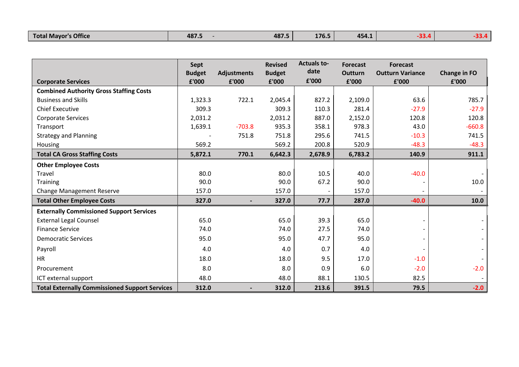|  | 's Office<br><b>Total Mavor</b> | 487. | 487. | 176.5 | 454<br>. | .<br>-- |  |
|--|---------------------------------|------|------|-------|----------|---------|--|
|--|---------------------------------|------|------|-------|----------|---------|--|

|                                                       | Sept                   |                             | <b>Revised</b>         | <b>Actuals to-</b><br>date | <b>Forecast</b>         | <b>Forecast</b>                  |                              |
|-------------------------------------------------------|------------------------|-----------------------------|------------------------|----------------------------|-------------------------|----------------------------------|------------------------------|
| <b>Corporate Services</b>                             | <b>Budget</b><br>£'000 | <b>Adjustments</b><br>£'000 | <b>Budget</b><br>£'000 | £'000                      | <b>Outturn</b><br>£'000 | <b>Outturn Variance</b><br>£'000 | <b>Change in FO</b><br>£'000 |
| <b>Combined Authority Gross Staffing Costs</b>        |                        |                             |                        |                            |                         |                                  |                              |
| <b>Business and Skills</b>                            | 1,323.3                | 722.1                       | 2,045.4                | 827.2                      | 2,109.0                 | 63.6                             | 785.7                        |
| <b>Chief Executive</b>                                | 309.3                  |                             | 309.3                  | 110.3                      | 281.4                   | $-27.9$                          | $-27.9$                      |
| <b>Corporate Services</b>                             | 2,031.2                |                             | 2,031.2                | 887.0                      | 2,152.0                 | 120.8                            | 120.8                        |
| Transport                                             | 1,639.1                | $-703.8$                    | 935.3                  | 358.1                      | 978.3                   | 43.0                             | $-660.8$                     |
| <b>Strategy and Planning</b>                          |                        | 751.8                       | 751.8                  | 295.6                      | 741.5                   | $-10.3$                          | 741.5                        |
| Housing                                               | 569.2                  |                             | 569.2                  | 200.8                      | 520.9                   | $-48.3$                          | $-48.3$                      |
| <b>Total CA Gross Staffing Costs</b>                  | 5,872.1                | 770.1                       | 6,642.3                | 2,678.9                    | 6,783.2                 | 140.9                            | 911.1                        |
| <b>Other Employee Costs</b>                           |                        |                             |                        |                            |                         |                                  |                              |
| Travel                                                | 80.0                   |                             | 80.0                   | 10.5                       | 40.0                    | $-40.0$                          |                              |
| <b>Training</b>                                       | 90.0                   |                             | 90.0                   | 67.2                       | 90.0                    |                                  | 10.0                         |
| <b>Change Management Reserve</b>                      | 157.0                  |                             | 157.0                  |                            | 157.0                   |                                  |                              |
| <b>Total Other Employee Costs</b>                     | 327.0                  |                             | 327.0                  | 77.7                       | 287.0                   | $-40.0$                          | 10.0                         |
| <b>Externally Commissioned Support Services</b>       |                        |                             |                        |                            |                         |                                  |                              |
| <b>External Legal Counsel</b>                         | 65.0                   |                             | 65.0                   | 39.3                       | 65.0                    |                                  |                              |
| <b>Finance Service</b>                                | 74.0                   |                             | 74.0                   | 27.5                       | 74.0                    |                                  |                              |
| <b>Democratic Services</b>                            | 95.0                   |                             | 95.0                   | 47.7                       | 95.0                    |                                  |                              |
| Payroll                                               | 4.0                    |                             | 4.0                    | 0.7                        | 4.0                     |                                  |                              |
| <b>HR</b>                                             | 18.0                   |                             | 18.0                   | 9.5                        | 17.0                    | $-1.0$                           |                              |
| Procurement                                           | 8.0                    |                             | 8.0                    | 0.9                        | 6.0                     | $-2.0$                           | $-2.0$                       |
| ICT external support                                  | 48.0                   |                             | 48.0                   | 88.1                       | 130.5                   | 82.5                             |                              |
| <b>Total Externally Commissioned Support Services</b> | 312.0                  |                             | 312.0                  | 213.6                      | 391.5                   | 79.5                             | $-2.0$                       |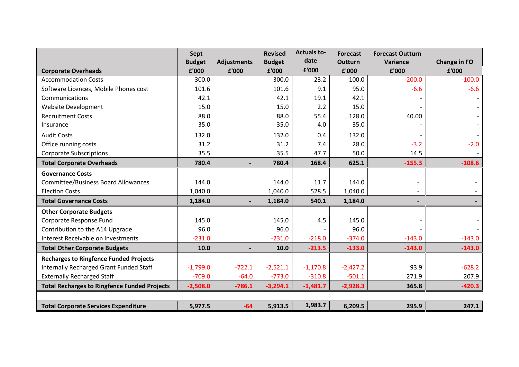|                                                     | <b>Sept</b><br><b>Budget</b> | <b>Adjustments</b> | <b>Revised</b><br><b>Budget</b> | <b>Actuals to-</b><br>date | <b>Forecast</b><br><b>Outturn</b> | <b>Forecast Outturn</b><br>Variance | <b>Change in FO</b> |
|-----------------------------------------------------|------------------------------|--------------------|---------------------------------|----------------------------|-----------------------------------|-------------------------------------|---------------------|
| <b>Corporate Overheads</b>                          | £'000                        | £'000              | £'000                           | £'000                      | £'000                             | £'000                               | £'000               |
| <b>Accommodation Costs</b>                          | 300.0                        |                    | 300.0                           | 23.2                       | 100.0                             | $-200.0$                            | $-100.0$            |
| Software Licences, Mobile Phones cost               | 101.6                        |                    | 101.6                           | 9.1                        | 95.0                              | $-6.6$                              | $-6.6$              |
| Communications                                      | 42.1                         |                    | 42.1                            | 19.1                       | 42.1                              |                                     |                     |
| <b>Website Development</b>                          | 15.0                         |                    | 15.0                            | 2.2                        | 15.0                              |                                     |                     |
| <b>Recruitment Costs</b>                            | 88.0                         |                    | 88.0                            | 55.4                       | 128.0                             | 40.00                               |                     |
| Insurance                                           | 35.0                         |                    | 35.0                            | 4.0                        | 35.0                              |                                     |                     |
| <b>Audit Costs</b>                                  | 132.0                        |                    | 132.0                           | 0.4                        | 132.0                             |                                     |                     |
| Office running costs                                | 31.2                         |                    | 31.2                            | 7.4                        | 28.0                              | $-3.2$                              | $-2.0$              |
| <b>Corporate Subscriptions</b>                      | 35.5                         |                    | 35.5                            | 47.7                       | 50.0                              | 14.5                                |                     |
| <b>Total Corporate Overheads</b>                    | 780.4                        |                    | 780.4                           | 168.4                      | 625.1                             | $-155.3$                            | $-108.6$            |
| <b>Governance Costs</b>                             |                              |                    |                                 |                            |                                   |                                     |                     |
| <b>Committee/Business Board Allowances</b>          | 144.0                        |                    | 144.0                           | 11.7                       | 144.0                             |                                     |                     |
| <b>Election Costs</b>                               | 1,040.0                      |                    | 1,040.0                         | 528.5                      | 1,040.0                           |                                     |                     |
| <b>Total Governance Costs</b>                       | 1,184.0                      |                    | 1,184.0                         | 540.1                      | 1,184.0                           | $\overline{\phantom{a}}$            |                     |
| <b>Other Corporate Budgets</b>                      |                              |                    |                                 |                            |                                   |                                     |                     |
| Corporate Response Fund                             | 145.0                        |                    | 145.0                           | 4.5                        | 145.0                             |                                     |                     |
| Contribution to the A14 Upgrade                     | 96.0                         |                    | 96.0                            |                            | 96.0                              |                                     |                     |
| Interest Receivable on Investments                  | $-231.0$                     |                    | $-231.0$                        | $-218.0$                   | $-374.0$                          | $-143.0$                            | $-143.0$            |
| <b>Total Other Corporate Budgets</b>                | 10.0                         |                    | 10.0                            | $-213.5$                   | $-133.0$                          | $-143.0$                            | $-143.0$            |
| <b>Recharges to Ringfence Funded Projects</b>       |                              |                    |                                 |                            |                                   |                                     |                     |
| <b>Internally Recharged Grant Funded Staff</b>      | $-1,799.0$                   | $-722.1$           | $-2,521.1$                      | $-1,170.8$                 | $-2,427.2$                        | 93.9                                | $-628.2$            |
| <b>Externally Recharged Staff</b>                   | $-709.0$                     | $-64.0$            | $-773.0$                        | $-310.8$                   | $-501.1$                          | 271.9                               | 207.9               |
| <b>Total Recharges to Ringfence Funded Projects</b> | $-2,508.0$                   | $-786.1$           | $-3,294.1$                      | $-1,481.7$                 | $-2,928.3$                        | 365.8                               | $-420.3$            |
|                                                     |                              |                    |                                 |                            |                                   |                                     |                     |
| <b>Total Corporate Services Expenditure</b>         | 5,977.5                      | $-64$              | 5,913.5                         | 1,983.7                    | 6,209.5                           | 295.9                               | 247.1               |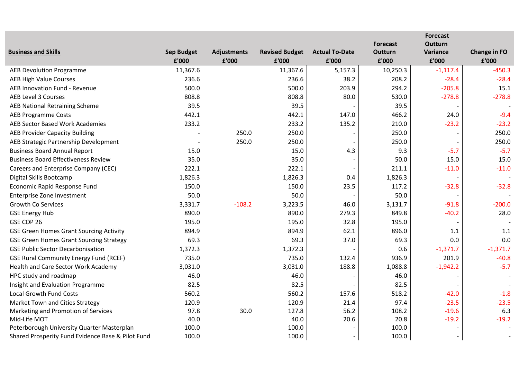|                                                   |                   |                    |                       |                       |                 | <b>Forecast</b> |                     |
|---------------------------------------------------|-------------------|--------------------|-----------------------|-----------------------|-----------------|-----------------|---------------------|
|                                                   |                   |                    |                       |                       | <b>Forecast</b> | <b>Outturn</b>  |                     |
| <b>Business and Skills</b>                        | <b>Sep Budget</b> | <b>Adjustments</b> | <b>Revised Budget</b> | <b>Actual To-Date</b> | <b>Outturn</b>  | Variance        | <b>Change in FO</b> |
|                                                   | £'000             | £'000              | £'000                 | £'000                 | £'000           | £'000           | £'000               |
| <b>AEB Devolution Programme</b>                   | 11,367.6          |                    | 11,367.6              | 5,157.3               | 10,250.3        | $-1,117.4$      | $-450.3$            |
| <b>AEB High Value Courses</b>                     | 236.6             |                    | 236.6                 | 38.2                  | 208.2           | $-28.4$         | $-28.4$             |
| AEB Innovation Fund - Revenue                     | 500.0             |                    | 500.0                 | 203.9                 | 294.2           | $-205.8$        | 15.1                |
| <b>AEB Level 3 Courses</b>                        | 808.8             |                    | 808.8                 | 80.0                  | 530.0           | $-278.8$        | $-278.8$            |
| <b>AEB National Retraining Scheme</b>             | 39.5              |                    | 39.5                  |                       | 39.5            |                 |                     |
| <b>AEB Programme Costs</b>                        | 442.1             |                    | 442.1                 | 147.0                 | 466.2           | 24.0            | $-9.4$              |
| AEB Sector Based Work Academies                   | 233.2             |                    | 233.2                 | 135.2                 | 210.0           | $-23.2$         | $-23.2$             |
| <b>AEB Provider Capacity Building</b>             |                   | 250.0              | 250.0                 |                       | 250.0           |                 | 250.0               |
| AEB Strategic Partnership Development             |                   | 250.0              | 250.0                 |                       | 250.0           |                 | 250.0               |
| <b>Business Board Annual Report</b>               | 15.0              |                    | 15.0                  | 4.3                   | 9.3             | $-5.7$          | $-5.7$              |
| <b>Business Board Effectiveness Review</b>        | 35.0              |                    | 35.0                  |                       | 50.0            | 15.0            | 15.0                |
| Careers and Enterprise Company (CEC)              | 222.1             |                    | 222.1                 |                       | 211.1           | $-11.0$         | $-11.0$             |
| Digital Skills Bootcamp                           | 1,826.3           |                    | 1,826.3               | 0.4                   | 1,826.3         |                 |                     |
| Economic Rapid Response Fund                      | 150.0             |                    | 150.0                 | 23.5                  | 117.2           | $-32.8$         | $-32.8$             |
| Enterprise Zone Investment                        | 50.0              |                    | 50.0                  |                       | 50.0            |                 |                     |
| <b>Growth Co Services</b>                         | 3,331.7           | $-108.2$           | 3,223.5               | 46.0                  | 3,131.7         | $-91.8$         | $-200.0$            |
| <b>GSE Energy Hub</b>                             | 890.0             |                    | 890.0                 | 279.3                 | 849.8           | $-40.2$         | 28.0                |
| GSE COP 26                                        | 195.0             |                    | 195.0                 | 32.8                  | 195.0           |                 |                     |
| <b>GSE Green Homes Grant Sourcing Activity</b>    | 894.9             |                    | 894.9                 | 62.1                  | 896.0           | 1.1             | 1.1                 |
| <b>GSE Green Homes Grant Sourcing Strategy</b>    | 69.3              |                    | 69.3                  | 37.0                  | 69.3            | 0.0             | 0.0                 |
| <b>GSE Public Sector Decarbonisation</b>          | 1,372.3           |                    | 1,372.3               |                       | 0.6             | $-1,371.7$      | $-1,371.7$          |
| <b>GSE Rural Community Energy Fund (RCEF)</b>     | 735.0             |                    | 735.0                 | 132.4                 | 936.9           | 201.9           | $-40.8$             |
| Health and Care Sector Work Academy               | 3,031.0           |                    | 3,031.0               | 188.8                 | 1,088.8         | $-1,942.2$      | $-5.7$              |
| HPC study and roadmap                             | 46.0              |                    | 46.0                  |                       | 46.0            |                 |                     |
| Insight and Evaluation Programme                  | 82.5              |                    | 82.5                  |                       | 82.5            |                 |                     |
| <b>Local Growth Fund Costs</b>                    | 560.2             |                    | 560.2                 | 157.6                 | 518.2           | $-42.0$         | $-1.8$              |
| Market Town and Cities Strategy                   | 120.9             |                    | 120.9                 | 21.4                  | 97.4            | $-23.5$         | $-23.5$             |
| Marketing and Promotion of Services               | 97.8              | 30.0               | 127.8                 | 56.2                  | 108.2           | $-19.6$         | 6.3                 |
| Mid-Life MOT                                      | 40.0              |                    | 40.0                  | 20.6                  | 20.8            | $-19.2$         | $-19.2$             |
| Peterborough University Quarter Masterplan        | 100.0             |                    | 100.0                 |                       | 100.0           |                 |                     |
| Shared Prosperity Fund Evidence Base & Pilot Fund | 100.0             |                    | 100.0                 |                       | 100.0           |                 |                     |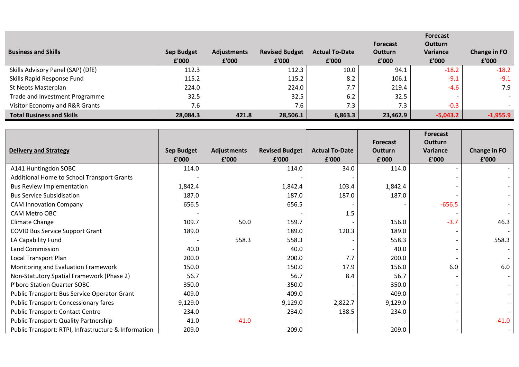| <b>Business and Skills</b>        | <b>Sep Budget</b> | <b>Adjustments</b> | <b>Revised Budget</b> | <b>Actual To-Date</b> | <b>Forecast</b><br><b>Outturn</b> | <b>Forecast</b><br><b>Outturn</b><br>Variance | Change in FO |
|-----------------------------------|-------------------|--------------------|-----------------------|-----------------------|-----------------------------------|-----------------------------------------------|--------------|
|                                   | £'000             | £'000              | £'000                 | £'000                 | £'000                             | £'000                                         | £'000        |
| Skills Advisory Panel (SAP) (DfE) | 112.3             |                    | 112.3                 | 10.0                  | 94.1                              | $-18.2$                                       | $-18.2$      |
| Skills Rapid Response Fund        | 115.2             |                    | 115.2                 | 8.2                   | 106.1                             | $-9.1$                                        | $-9.1$       |
| St Neots Masterplan               | 224.0             |                    | 224.0                 | 7.7                   | 219.4                             | $-4.6$                                        | 7.9          |
| Trade and Investment Programme    | 32.5              |                    | 32.5                  | 6.2                   | 32.5                              |                                               |              |
| Visitor Economy and R&R Grants    | 7.6               |                    | 7.6                   | 7.3                   | 7.3                               | $-0.3$                                        |              |
| <b>Total Business and Skills</b>  | 28,084.3          | 421.8              | 28,506.1              | 6,863.3               | 23,462.9                          | $-5,043.2$                                    | $-1,955.9$   |

|                                                      |            |                    |                       |                       |                            | <b>Forecast</b>            |                     |
|------------------------------------------------------|------------|--------------------|-----------------------|-----------------------|----------------------------|----------------------------|---------------------|
| <b>Delivery and Strategy</b>                         | Sep Budget | <b>Adjustments</b> | <b>Revised Budget</b> | <b>Actual To-Date</b> | <b>Forecast</b><br>Outturn | <b>Outturn</b><br>Variance | <b>Change in FO</b> |
|                                                      | £'000      | £'000              | £'000                 | £'000                 | £'000                      | £'000                      | £'000               |
| A141 Huntingdon SOBC                                 | 114.0      |                    | 114.0                 | 34.0                  | 114.0                      |                            |                     |
| Additional Home to School Transport Grants           |            |                    |                       |                       |                            |                            |                     |
| <b>Bus Review Implementation</b>                     | 1,842.4    |                    | 1,842.4               | 103.4                 | 1,842.4                    |                            |                     |
| <b>Bus Service Subsidisation</b>                     | 187.0      |                    | 187.0                 | 187.0                 | 187.0                      |                            |                     |
| <b>CAM Innovation Company</b>                        | 656.5      |                    | 656.5                 |                       |                            | $-656.5$                   |                     |
| CAM Metro OBC                                        |            |                    |                       | 1.5                   |                            |                            |                     |
| Climate Change                                       | 109.7      | 50.0               | 159.7                 |                       | 156.0                      | $-3.7$                     | 46.3                |
| <b>COVID Bus Service Support Grant</b>               | 189.0      |                    | 189.0                 | 120.3                 | 189.0                      |                            |                     |
| LA Capability Fund                                   |            | 558.3              | 558.3                 |                       | 558.3                      |                            | 558.3               |
| <b>Land Commission</b>                               | 40.0       |                    | 40.0                  |                       | 40.0                       |                            |                     |
| Local Transport Plan                                 | 200.0      |                    | 200.0                 | 7.7                   | 200.0                      |                            |                     |
| Monitoring and Evaluation Framework                  | 150.0      |                    | 150.0                 | 17.9                  | 156.0                      | 6.0                        | 6.0                 |
| Non-Statutory Spatial Framework (Phase 2)            | 56.7       |                    | 56.7                  | 8.4                   | 56.7                       |                            |                     |
| P'boro Station Quarter SOBC                          | 350.0      |                    | 350.0                 |                       | 350.0                      |                            |                     |
| Public Transport: Bus Service Operator Grant         | 409.0      |                    | 409.0                 |                       | 409.0                      |                            |                     |
| <b>Public Transport: Concessionary fares</b>         | 9,129.0    |                    | 9,129.0               | 2,822.7               | 9,129.0                    |                            |                     |
| <b>Public Transport: Contact Centre</b>              | 234.0      |                    | 234.0                 | 138.5                 | 234.0                      |                            |                     |
| <b>Public Transport: Quality Partnership</b>         | 41.0       | $-41.0$            |                       |                       |                            |                            | $-41.0$             |
| Public Transport: RTPI, Infrastructure & Information | 209.0      |                    | 209.0                 |                       | 209.0                      |                            |                     |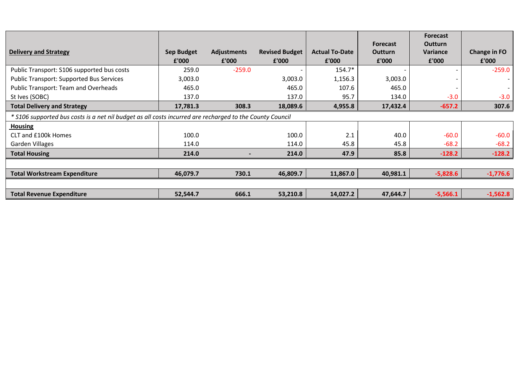|                                                                                                          |                   |             |                       |                       | <b>Forecast</b> | Forecast<br><b>Outturn</b> |              |  |  |
|----------------------------------------------------------------------------------------------------------|-------------------|-------------|-----------------------|-----------------------|-----------------|----------------------------|--------------|--|--|
| <b>Delivery and Strategy</b>                                                                             | <b>Sep Budget</b> | Adjustments | <b>Revised Budget</b> | <b>Actual To-Date</b> | <b>Outturn</b>  | Variance                   | Change in FO |  |  |
|                                                                                                          | £'000             | £'000       | £'000                 | £'000                 | £'000           | £'000                      | £'000        |  |  |
| Public Transport: S106 supported bus costs                                                               | 259.0             | $-259.0$    |                       | 154.7*                |                 |                            | $-259.0$     |  |  |
| <b>Public Transport: Supported Bus Services</b>                                                          | 3,003.0           |             | 3,003.0               | 1,156.3               | 3,003.0         |                            |              |  |  |
| <b>Public Transport: Team and Overheads</b>                                                              | 465.0             |             | 465.0                 | 107.6                 | 465.0           |                            |              |  |  |
| St Ives (SOBC)                                                                                           | 137.0             |             | 137.0                 | 95.7                  | 134.0           | $-3.0$                     | $-3.0$       |  |  |
| <b>Total Delivery and Strategy</b>                                                                       | 17,781.3          | 308.3       | 18,089.6              | 4,955.8               | 17,432.4        | $-657.2$                   | 307.6        |  |  |
| * S106 supported bus costs is a net nil budget as all costs incurred are recharged to the County Council |                   |             |                       |                       |                 |                            |              |  |  |
| <b>Housing</b>                                                                                           |                   |             |                       |                       |                 |                            |              |  |  |
| CLT and £100k Homes                                                                                      | 100.0             |             | 100.0                 | 2.1                   | 40.0            | $-60.0$                    | $-60.0$      |  |  |
| <b>Garden Villages</b>                                                                                   | 114.0             |             | 114.0                 | 45.8                  | 45.8            | $-68.2$                    | $-68.2$      |  |  |
| <b>Total Housing</b>                                                                                     | 214.0             |             | 214.0                 | 47.9                  | 85.8            | $-128.2$                   | $-128.2$     |  |  |
|                                                                                                          |                   |             |                       |                       |                 |                            |              |  |  |
| <b>Total Workstream Expenditure</b>                                                                      | 46,079.7          | 730.1       | 46,809.7              | 11,867.0              | 40,981.1        | $-5,828.6$                 | $-1,776.6$   |  |  |
|                                                                                                          |                   |             |                       |                       |                 |                            |              |  |  |
| <b>Total Revenue Expenditure</b>                                                                         | 52,544.7          | 666.1       | 53,210.8              | 14,027.2              | 47,644.7        | $-5,566.1$                 | $-1,562.8$   |  |  |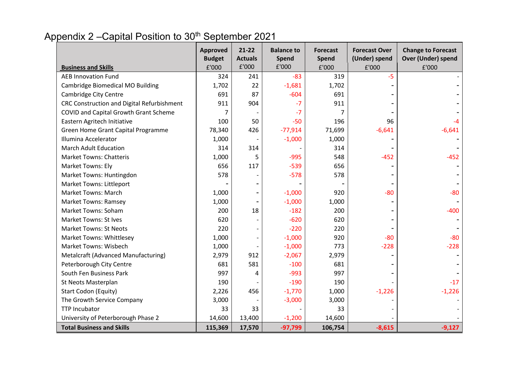# Appendix 2 – Capital Position to 30<sup>th</sup> September 2021

| <b>Business and Skills</b>                 | <b>Approved</b><br><b>Budget</b><br>£'000 | $21 - 22$<br><b>Actuals</b><br>£'000 | <b>Balance to</b><br><b>Spend</b><br>£'000 | <b>Forecast</b><br>Spend<br>£'000 | <b>Forecast Over</b><br>(Under) spend<br>£'000 | <b>Change to Forecast</b><br><b>Over (Under) spend</b><br>£'000 |
|--------------------------------------------|-------------------------------------------|--------------------------------------|--------------------------------------------|-----------------------------------|------------------------------------------------|-----------------------------------------------------------------|
| <b>AEB Innovation Fund</b>                 | 324                                       | 241                                  | $-83$                                      | 319                               | -5                                             |                                                                 |
| <b>Cambridge Biomedical MO Building</b>    | 1,702                                     | 22                                   | $-1,681$                                   | 1,702                             |                                                |                                                                 |
| <b>Cambridge City Centre</b>               | 691                                       | 87                                   | $-604$                                     | 691                               |                                                |                                                                 |
| CRC Construction and Digital Refurbishment | 911                                       | 904                                  | $-7$                                       | 911                               |                                                |                                                                 |
| COVID and Capital Growth Grant Scheme      |                                           |                                      | $-7$                                       |                                   |                                                |                                                                 |
| Eastern Agritech Initiative                | 100                                       | 50                                   | $-50$                                      | 196                               | 96                                             |                                                                 |
| Green Home Grant Capital Programme         | 78,340                                    | 426                                  | $-77,914$                                  | 71,699                            | $-6,641$                                       | $-6,641$                                                        |
| Illumina Accelerator                       | 1,000                                     |                                      | $-1,000$                                   | 1,000                             |                                                |                                                                 |
| <b>March Adult Education</b>               | 314                                       | 314                                  |                                            | 314                               |                                                |                                                                 |
| <b>Market Towns: Chatteris</b>             | 1,000                                     | 5                                    | $-995$                                     | 548                               | $-452$                                         | $-452$                                                          |
| Market Towns: Ely                          | 656                                       | 117                                  | $-539$                                     | 656                               |                                                |                                                                 |
| Market Towns: Huntingdon                   | 578                                       |                                      | $-578$                                     | 578                               |                                                |                                                                 |
| <b>Market Towns: Littleport</b>            |                                           |                                      |                                            |                                   |                                                |                                                                 |
| <b>Market Towns: March</b>                 | 1,000                                     |                                      | $-1,000$                                   | 920                               | $-80$                                          | $-80$                                                           |
| <b>Market Towns: Ramsey</b>                | 1,000                                     |                                      | $-1,000$                                   | 1,000                             |                                                |                                                                 |
| Market Towns: Soham                        | 200                                       | 18                                   | $-182$                                     | 200                               |                                                | $-400$                                                          |
| <b>Market Towns: St Ives</b>               | 620                                       |                                      | $-620$                                     | 620                               |                                                |                                                                 |
| <b>Market Towns: St Neots</b>              | 220                                       |                                      | $-220$                                     | 220                               |                                                |                                                                 |
| <b>Market Towns: Whittlesey</b>            | 1,000                                     |                                      | $-1,000$                                   | 920                               | $-80$                                          | $-80$                                                           |
| <b>Market Towns: Wisbech</b>               | 1,000                                     |                                      | $-1,000$                                   | 773                               | $-228$                                         | $-228$                                                          |
| Metalcraft (Advanced Manufacturing)        | 2,979                                     | 912                                  | $-2,067$                                   | 2,979                             |                                                |                                                                 |
| Peterborough City Centre                   | 681                                       | 581                                  | $-100$                                     | 681                               |                                                |                                                                 |
| South Fen Business Park                    | 997                                       | 4                                    | $-993$                                     | 997                               |                                                |                                                                 |
| St Neots Masterplan                        | 190                                       |                                      | $-190$                                     | 190                               |                                                | $-17$                                                           |
| Start Codon (Equity)                       | 2,226                                     | 456                                  | $-1,770$                                   | 1,000                             | $-1,226$                                       | $-1,226$                                                        |
| The Growth Service Company                 | 3,000                                     |                                      | $-3,000$                                   | 3,000                             |                                                |                                                                 |
| <b>TTP Incubator</b>                       | 33                                        | 33                                   |                                            | 33                                |                                                |                                                                 |
| University of Peterborough Phase 2         | 14,600                                    | 13,400                               | $-1,200$                                   | 14,600                            |                                                |                                                                 |
| <b>Total Business and Skills</b>           | 115,369                                   | 17,570                               | $-97,799$                                  | 106,754                           | $-8,615$                                       | $-9,127$                                                        |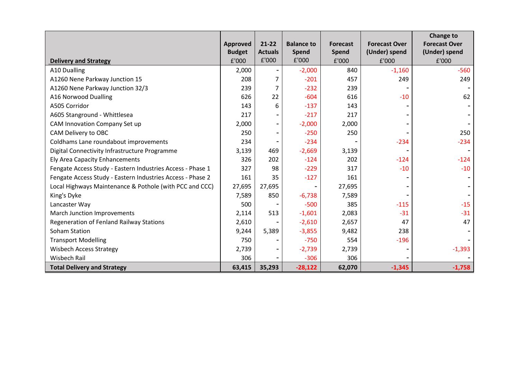|                                                            | Approved      | 21-22                    | <b>Balance to</b> | <b>Forecast</b> | <b>Forecast Over</b> | <b>Change to</b><br><b>Forecast Over</b> |
|------------------------------------------------------------|---------------|--------------------------|-------------------|-----------------|----------------------|------------------------------------------|
|                                                            | <b>Budget</b> | <b>Actuals</b>           | <b>Spend</b>      | Spend           | (Under) spend        | (Under) spend                            |
| <b>Delivery and Strategy</b>                               | £'000         | £'000                    | £'000             | £'000           | £'000                | £'000                                    |
| A10 Dualling                                               | 2,000         | $\overline{\phantom{a}}$ | $-2,000$          | 840             | $-1,160$             | $-560$                                   |
| A1260 Nene Parkway Junction 15                             | 208           | 7                        | $-201$            | 457             | 249                  | 249                                      |
| A1260 Nene Parkway Junction 32/3                           | 239           | 7                        | $-232$            | 239             |                      |                                          |
| A16 Norwood Dualling                                       | 626           | 22                       | $-604$            | 616             | $-10$                | 62                                       |
| A505 Corridor                                              | 143           | 6                        | $-137$            | 143             |                      |                                          |
| A605 Stanground - Whittlesea                               | 217           |                          | $-217$            | 217             |                      |                                          |
| CAM Innovation Company Set up                              | 2,000         | ۰                        | $-2,000$          | 2,000           |                      |                                          |
| CAM Delivery to OBC                                        | 250           | -                        | $-250$            | 250             |                      | 250                                      |
| Coldhams Lane roundabout improvements                      | 234           |                          | $-234$            |                 | $-234$               | $-234$                                   |
| Digital Connectivity Infrastructure Programme              | 3,139         | 469                      | $-2,669$          | 3,139           |                      |                                          |
| <b>Ely Area Capacity Enhancements</b>                      | 326           | 202                      | $-124$            | 202             | $-124$               | $-124$                                   |
| Fengate Access Study - Eastern Industries Access - Phase 1 | 327           | 98                       | $-229$            | 317             | $-10$                | $-10$                                    |
| Fengate Access Study - Eastern Industries Access - Phase 2 | 161           | 35                       | $-127$            | 161             |                      |                                          |
| Local Highways Maintenance & Pothole (with PCC and CCC)    | 27,695        | 27,695                   |                   | 27,695          |                      |                                          |
| King's Dyke                                                | 7,589         | 850                      | $-6,738$          | 7,589           |                      |                                          |
| Lancaster Way                                              | 500           |                          | $-500$            | 385             | $-115$               | $-15$                                    |
| March Junction Improvements                                | 2,114         | 513                      | $-1,601$          | 2,083           | $-31$                | $-31$                                    |
| Regeneration of Fenland Railway Stations                   | 2,610         |                          | $-2,610$          | 2,657           | 47                   | 47                                       |
| Soham Station                                              | 9,244         | 5,389                    | $-3,855$          | 9,482           | 238                  |                                          |
| <b>Transport Modelling</b>                                 | 750           |                          | $-750$            | 554             | $-196$               |                                          |
| <b>Wisbech Access Strategy</b>                             | 2,739         | -                        | $-2,739$          | 2,739           |                      | $-1,393$                                 |
| <b>Wisbech Rail</b>                                        | 306           |                          | $-306$            | 306             |                      |                                          |
| <b>Total Delivery and Strategy</b>                         | 63,415        | 35,293                   | $-28,122$         | 62,070          | $-1,345$             | $-1,758$                                 |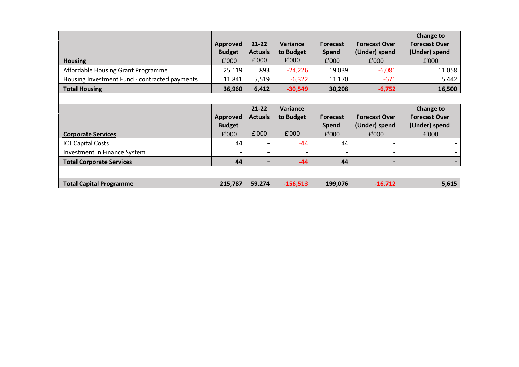| <b>Housing</b>                                                                               | <b>Approved</b><br><b>Budget</b><br>f'000 | $21 - 22$<br><b>Actuals</b><br>£'000 | Variance<br>to Budget<br>£'000 | <b>Forecast</b><br><b>Spend</b><br>£'000 | <b>Forecast Over</b><br>(Under) spend<br>£'000 | Change to<br><b>Forecast Over</b><br>(Under) spend<br>£'000 |
|----------------------------------------------------------------------------------------------|-------------------------------------------|--------------------------------------|--------------------------------|------------------------------------------|------------------------------------------------|-------------------------------------------------------------|
| Affordable Housing Grant Programme                                                           | 25,119                                    | 893                                  | $-24,226$                      | 19,039                                   | $-6,081$                                       | 11,058                                                      |
| Housing Investment Fund - contracted payments                                                | 11,841                                    | 5,519                                | $-6,322$                       | 11,170                                   | $-671$                                         | 5,442                                                       |
| <b>Total Housing</b>                                                                         | 36,960                                    | 6,412                                | $-30,549$                      | 30,208                                   | $-6,752$                                       | 16,500                                                      |
|                                                                                              |                                           |                                      |                                |                                          |                                                |                                                             |
|                                                                                              | Approved                                  | $21 - 22$<br><b>Actuals</b>          | Variance<br>to Budget          | <b>Forecast</b>                          | <b>Forecast Over</b>                           | Change to<br><b>Forecast Over</b>                           |
|                                                                                              | <b>Budget</b><br>£'000                    | £'000                                | £'000                          | <b>Spend</b><br>£'000                    | (Under) spend<br>£'000                         | (Under) spend<br>£'000                                      |
| <b>Corporate Services</b><br><b>ICT Capital Costs</b><br><b>Investment in Finance System</b> | 44                                        |                                      | -44                            | 44                                       | -                                              |                                                             |
| <b>Total Corporate Services</b>                                                              | 44                                        | $\blacksquare$                       | -44                            | 44                                       | $\overline{\phantom{a}}$                       |                                                             |
|                                                                                              |                                           |                                      |                                |                                          |                                                |                                                             |
| <b>Total Capital Programme</b>                                                               | 215,787                                   | 59,274                               | $-156,513$                     | 199,076                                  | $-16,712$                                      | 5,615                                                       |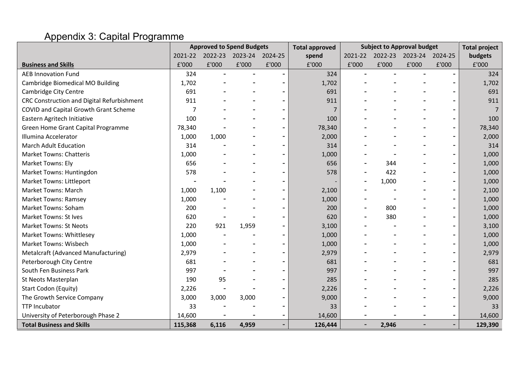# Appendix 3: Capital Programme

|                                            |         |       | <b>Approved to Spend Budgets</b> |         | <b>Total approved</b> |         |         | <b>Subject to Approval budget</b> |                          | <b>Total project</b> |
|--------------------------------------------|---------|-------|----------------------------------|---------|-----------------------|---------|---------|-----------------------------------|--------------------------|----------------------|
|                                            | 2021-22 |       | 2022-23 2023-24                  | 2024-25 | spend                 | 2021-22 | 2022-23 | 2023-24 2024-25                   |                          | budgets              |
| <b>Business and Skills</b>                 | £'000   | £'000 | £'000                            | £'000   | £'000                 | £'000   | £'000   | £'000                             | £'000                    | £'000                |
| <b>AEB Innovation Fund</b>                 | 324     |       |                                  |         | 324                   |         |         |                                   |                          | 324                  |
| Cambridge Biomedical MO Building           | 1,702   |       |                                  |         | 1,702                 |         |         |                                   |                          | 1,702                |
| Cambridge City Centre                      | 691     |       |                                  |         | 691                   |         |         |                                   | ۰                        | 691                  |
| CRC Construction and Digital Refurbishment | 911     |       |                                  |         | 911                   |         |         |                                   | $\overline{\phantom{0}}$ | 911                  |
| COVID and Capital Growth Grant Scheme      | 7       |       |                                  |         | 7                     |         |         |                                   | ۰                        | $\overline{7}$       |
| Eastern Agritech Initiative                | 100     |       |                                  |         | 100                   |         |         |                                   | -                        | 100                  |
| Green Home Grant Capital Programme         | 78,340  |       |                                  |         | 78,340                |         |         |                                   | ۰                        | 78,340               |
| Illumina Accelerator                       | 1,000   | 1,000 |                                  |         | 2,000                 |         |         |                                   | -                        | 2,000                |
| <b>March Adult Education</b>               | 314     |       |                                  |         | 314                   |         |         |                                   | -                        | 314                  |
| <b>Market Towns: Chatteris</b>             | 1,000   |       |                                  |         | 1,000                 |         |         |                                   | ۰                        | 1,000                |
| Market Towns: Ely                          | 656     |       |                                  |         | 656                   |         | 344     |                                   | -                        | 1,000                |
| Market Towns: Huntingdon                   | 578     |       |                                  |         | 578                   |         | 422     |                                   | -                        | 1,000                |
| Market Towns: Littleport                   |         |       |                                  |         |                       |         | 1,000   |                                   |                          | 1,000                |
| <b>Market Towns: March</b>                 | 1,000   | 1,100 |                                  |         | 2,100                 |         |         |                                   | ۰                        | 2,100                |
| <b>Market Towns: Ramsey</b>                | 1,000   |       |                                  |         | 1,000                 |         |         |                                   | ۰                        | 1,000                |
| Market Towns: Soham                        | 200     |       |                                  |         | 200                   |         | 800     |                                   | ۰                        | 1,000                |
| <b>Market Towns: St Ives</b>               | 620     |       |                                  |         | 620                   |         | 380     |                                   | -                        | 1,000                |
| <b>Market Towns: St Neots</b>              | 220     | 921   | 1,959                            |         | 3,100                 |         |         |                                   | -                        | 3,100                |
| <b>Market Towns: Whittlesey</b>            | 1,000   |       |                                  |         | 1,000                 |         |         |                                   |                          | 1,000                |
| <b>Market Towns: Wisbech</b>               | 1,000   |       |                                  |         | 1,000                 |         |         |                                   | ۰                        | 1,000                |
| Metalcraft (Advanced Manufacturing)        | 2,979   |       |                                  |         | 2,979                 |         |         |                                   | -                        | 2,979                |
| Peterborough City Centre                   | 681     |       |                                  |         | 681                   |         |         |                                   | ۰                        | 681                  |
| South Fen Business Park                    | 997     |       |                                  |         | 997                   |         |         |                                   | -                        | 997                  |
| St Neots Masterplan                        | 190     | 95    |                                  |         | 285                   |         |         |                                   | -                        | 285                  |
| Start Codon (Equity)                       | 2,226   |       |                                  |         | 2,226                 |         |         |                                   |                          | 2,226                |
| The Growth Service Company                 | 3,000   | 3,000 | 3,000                            |         | 9,000                 |         |         |                                   | ۰                        | 9,000                |
| <b>TTP Incubator</b>                       | 33      |       |                                  |         | 33                    |         |         |                                   | ۰                        | 33                   |
| University of Peterborough Phase 2         | 14,600  |       |                                  |         | 14,600                |         |         |                                   |                          | 14,600               |
| <b>Total Business and Skills</b>           | 115,368 | 6,116 | 4,959                            |         | 126,444               |         | 2,946   |                                   | ۰                        | 129,390              |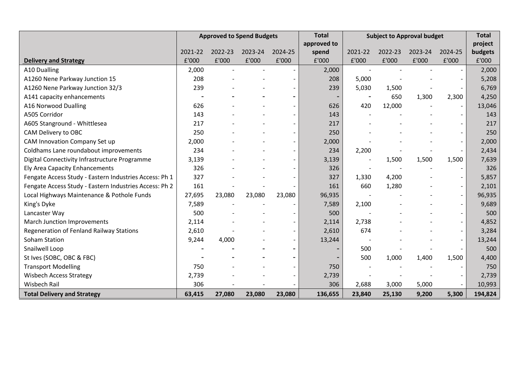|                                                        |                | <b>Approved to Spend Budgets</b> |         |                          | <b>Total</b>             | <b>Subject to Approval budget</b> |         |         | <b>Total</b>             |         |
|--------------------------------------------------------|----------------|----------------------------------|---------|--------------------------|--------------------------|-----------------------------------|---------|---------|--------------------------|---------|
|                                                        |                |                                  |         |                          | approved to              |                                   |         |         |                          | project |
|                                                        | 2021-22        | 2022-23                          | 2023-24 | 2024-25                  | spend                    | 2021-22                           | 2022-23 | 2023-24 | 2024-25                  | budgets |
| <b>Delivery and Strategy</b>                           | £'000          | £'000                            | £'000   | £'000                    | £'000                    | £'000                             | £'000   | £'000   | £'000                    | £'000   |
| A10 Dualling                                           | 2,000          |                                  |         |                          | 2,000                    |                                   |         |         |                          | 2,000   |
| A1260 Nene Parkway Junction 15                         | 208            |                                  |         |                          | 208                      | 5,000                             |         |         |                          | 5,208   |
| A1260 Nene Parkway Junction 32/3                       | 239            |                                  |         |                          | 239                      | 5,030                             | 1,500   |         |                          | 6,769   |
| A141 capacity enhancements                             | $\overline{a}$ |                                  |         |                          | $\overline{\phantom{a}}$ | $\overline{\phantom{a}}$          | 650     | 1,300   | 2,300                    | 4,250   |
| A16 Norwood Dualling                                   | 626            |                                  |         |                          | 626                      | 420                               | 12,000  |         |                          | 13,046  |
| A505 Corridor                                          | 143            |                                  |         |                          | 143                      |                                   |         |         |                          | 143     |
| A605 Stanground - Whittlesea                           | 217            |                                  |         |                          | 217                      |                                   |         |         |                          | 217     |
| CAM Delivery to OBC                                    | 250            |                                  |         |                          | 250                      |                                   |         |         |                          | 250     |
| CAM Innovation Company Set up                          | 2,000          |                                  |         |                          | 2,000                    |                                   |         |         |                          | 2,000   |
| Coldhams Lane roundabout improvements                  | 234            |                                  |         |                          | 234                      | 2,200                             |         |         |                          | 2,434   |
| Digital Connectivity Infrastructure Programme          | 3,139          |                                  |         |                          | 3,139                    |                                   | 1,500   | 1,500   | 1,500                    | 7,639   |
| Ely Area Capacity Enhancements                         | 326            |                                  |         |                          | 326                      |                                   |         |         |                          | 326     |
| Fengate Access Study - Eastern Industries Access: Ph 1 | 327            |                                  |         |                          | 327                      | 1,330                             | 4,200   |         |                          | 5,857   |
| Fengate Access Study - Eastern Industries Access: Ph 2 | 161            |                                  |         |                          | 161                      | 660                               | 1,280   |         | $\sim$                   | 2,101   |
| Local Highways Maintenance & Pothole Funds             | 27,695         | 23,080                           | 23,080  | 23,080                   | 96,935                   |                                   |         |         |                          | 96,935  |
| King's Dyke                                            | 7,589          |                                  |         |                          | 7,589                    | 2,100                             |         |         |                          | 9,689   |
| Lancaster Way                                          | 500            |                                  |         |                          | 500                      |                                   |         |         |                          | 500     |
| March Junction Improvements                            | 2,114          |                                  |         |                          | 2,114                    | 2,738                             |         |         |                          | 4,852   |
| Regeneration of Fenland Railway Stations               | 2,610          |                                  |         |                          | 2,610                    | 674                               |         |         |                          | 3,284   |
| <b>Soham Station</b>                                   | 9,244          | 4,000                            |         | $\overline{\phantom{a}}$ | 13,244                   |                                   |         |         | $\overline{\phantom{a}}$ | 13,244  |
| Snailwell Loop                                         |                |                                  |         |                          |                          | 500                               |         |         |                          | 500     |
| St Ives (SOBC, OBC & FBC)                              |                |                                  |         |                          |                          | 500                               | 1,000   | 1,400   | 1,500                    | 4,400   |
| <b>Transport Modelling</b>                             | 750            |                                  |         |                          | 750                      |                                   |         |         |                          | 750     |
| <b>Wisbech Access Strategy</b>                         | 2,739          |                                  |         |                          | 2,739                    |                                   |         |         |                          | 2,739   |
| <b>Wisbech Rail</b>                                    | 306            |                                  |         |                          | 306                      | 2,688                             | 3,000   | 5,000   |                          | 10,993  |
| <b>Total Delivery and Strategy</b>                     | 63,415         | 27,080                           | 23,080  | 23,080                   | 136,655                  | 23,840                            | 25,130  | 9,200   | 5,300                    | 194,824 |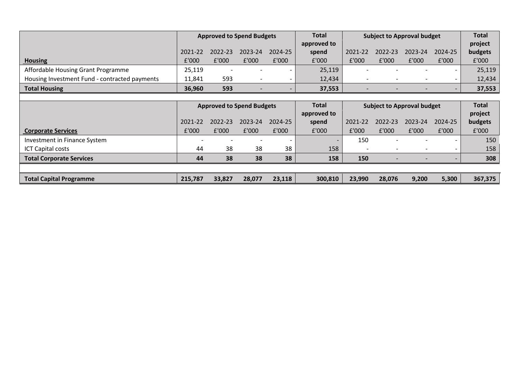|                                               | <b>Approved to Spend Budgets</b> |             |                          | <b>Total</b><br>approved to | Subject to Approval budget |                          |         | <b>Total</b><br>project  |         |         |
|-----------------------------------------------|----------------------------------|-------------|--------------------------|-----------------------------|----------------------------|--------------------------|---------|--------------------------|---------|---------|
|                                               | 2021-22                          | $2022 - 23$ | 2023-24                  | 2024-25                     | spend                      | 2021-22                  | 2022-23 | 2023-24                  | 2024-25 | budgets |
| <b>Housing</b>                                | £'000                            | £'000       | £'000                    | £'000                       | £'000                      | £'000                    | £'000   | £'000                    | £'000   | £'000   |
| Affordable Housing Grant Programme            | 25,119                           |             | $\overline{\phantom{a}}$ |                             | 25,119                     |                          |         |                          |         | 25,119  |
| Housing Investment Fund - contracted payments | 11,841                           | 593         |                          |                             | 12,434                     | $\overline{\phantom{0}}$ |         | $\overline{\phantom{0}}$ |         | 12,434  |
| <b>Total Housing</b>                          | 36,960                           | 593         | $\overline{\phantom{a}}$ |                             | 37,553                     |                          |         | $\overline{\phantom{0}}$ |         | 37,553  |

|                                 | <b>Approved to Spend Budgets</b> |         |         | <b>Total</b> | <b>Subject to Approval budget</b> |         |                          | <b>Total</b>             |         |         |
|---------------------------------|----------------------------------|---------|---------|--------------|-----------------------------------|---------|--------------------------|--------------------------|---------|---------|
|                                 |                                  |         |         |              | approved to                       |         |                          |                          |         | project |
|                                 | 2021-22                          | 2022-23 | 2023-24 | 2024-25      | spend                             | 2021-22 | 2022-23                  | 2023-24                  | 2024-25 | budgets |
| <b>Corporate Services</b>       | £'000                            | £'000   | £'000   | £'000        | £'000                             | £'000   | £'000                    | £'000                    | £'000   | £'000   |
| Investment in Finance System    |                                  |         |         |              | $\overline{\phantom{0}}$          | 150     |                          |                          |         | 150     |
| <b>ICT Capital costs</b>        | 44                               | 38      | 38      | 38           | 158                               |         |                          |                          |         | 158     |
| <b>Total Corporate Services</b> | 44                               | 38      | 38      | 38           | 158                               | 150     | $\overline{\phantom{0}}$ | $\overline{\phantom{0}}$ |         | 308     |
|                                 |                                  |         |         |              |                                   |         |                          |                          |         |         |
| <b>Total Capital Programme</b>  | 215,787                          | 33,827  | 28,077  | 23,118       | 300,810                           | 23,990  | 28,076                   | 9,200                    | 5,300   | 367,375 |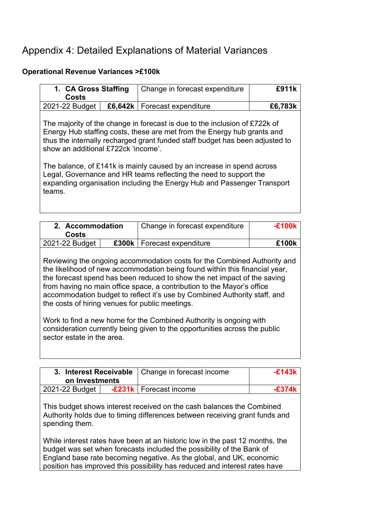## Appendix 4: Detailed Explanations of Material Variances

#### **Operational Revenue Variances >£100k**

| 1. CA Gross Staffing<br><b>Costs</b>          | Change in forecast expenditure                                                                                                                                                                                                                                                                                                                                                                                                                                 | f911k   |
|-----------------------------------------------|----------------------------------------------------------------------------------------------------------------------------------------------------------------------------------------------------------------------------------------------------------------------------------------------------------------------------------------------------------------------------------------------------------------------------------------------------------------|---------|
| 2021-22 Budget                                | £6.642k   Forecast expenditure                                                                                                                                                                                                                                                                                                                                                                                                                                 | £6,783k |
| show an additional £722ck 'income'.<br>teams. | The majority of the change in forecast is due to the inclusion of £722k of<br>Energy Hub staffing costs, these are met from the Energy hub grants and<br>thus the internally recharged grant funded staff budget has been adjusted to<br>The balance, of £141k is mainly caused by an increase in spend across<br>Legal, Governance and HR teams reflecting the need to support the<br>expanding organisation including the Energy Hub and Passenger Transport |         |

| 2. Accommodation<br><b>Costs</b>                | Change in forecast expenditure                                                                                                                                                                                                                                                                                                                                                             | -F100k |
|-------------------------------------------------|--------------------------------------------------------------------------------------------------------------------------------------------------------------------------------------------------------------------------------------------------------------------------------------------------------------------------------------------------------------------------------------------|--------|
| 2021-22 Budget                                  | £300k   Forecast expenditure                                                                                                                                                                                                                                                                                                                                                               | £100k  |
| the costs of hiring venues for public meetings. | Reviewing the ongoing accommodation costs for the Combined Authority and<br>the likelihood of new accommodation being found within this financial year,<br>the forecast spend has been reduced to show the net impact of the saving<br>from having no main office space, a contribution to the Mayor's office<br>accommodation budget to reflect it's use by Combined Authority staff, and |        |
| sector estate in the area.                      | Work to find a new home for the Combined Authority is ongoing with<br>consideration currently being given to the opportunities across the public                                                                                                                                                                                                                                           |        |

| on Investments | 3. Interest Receivable   Change in forecast income | -£143k |  |
|----------------|----------------------------------------------------|--------|--|
| 2021-22 Budget | <b>-£231k</b>   Forecast income                    | -£374k |  |

This budget shows interest received on the cash balances the Combined Authority holds due to timing differences between receiving grant funds and spending them.

While interest rates have been at an historic low in the past 12 months, the budget was set when forecasts included the possibility of the Bank of England base rate becoming negative. As the global, and UK, economic position has improved this possibility has reduced and interest rates have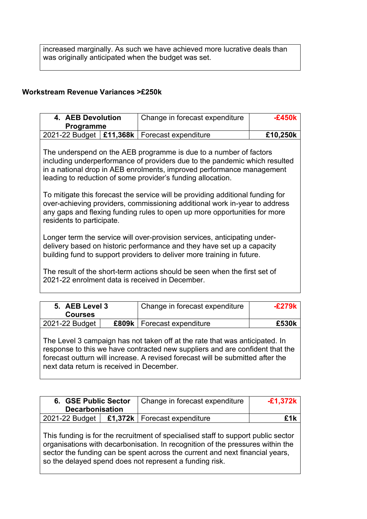increased marginally. As such we have achieved more lucrative deals than was originally anticipated when the budget was set.

#### **Workstream Revenue Variances >£250k**

| 4. AEB Devolution<br><b>Programme</b>                                                                                                                                                                                                                                                                                                                                                                                                                                                                                                                             | Change in forecast expenditure                                                                                                                                                                                                                                                                             | $-£450k$ |  |  |  |  |
|-------------------------------------------------------------------------------------------------------------------------------------------------------------------------------------------------------------------------------------------------------------------------------------------------------------------------------------------------------------------------------------------------------------------------------------------------------------------------------------------------------------------------------------------------------------------|------------------------------------------------------------------------------------------------------------------------------------------------------------------------------------------------------------------------------------------------------------------------------------------------------------|----------|--|--|--|--|
| 2021-22 Budget   £11,368k   Forecast expenditure                                                                                                                                                                                                                                                                                                                                                                                                                                                                                                                  |                                                                                                                                                                                                                                                                                                            | £10,250k |  |  |  |  |
| The underspend on the AEB programme is due to a number of factors<br>including underperformance of providers due to the pandemic which resulted<br>in a national drop in AEB enrolments, improved performance management<br>leading to reduction of some provider's funding allocation.<br>To mitigate this forecast the service will be providing additional funding for<br>over-achieving providers, commissioning additional work in-year to address<br>any gaps and flexing funding rules to open up more opportunities for more<br>residents to participate. |                                                                                                                                                                                                                                                                                                            |          |  |  |  |  |
| 2021-22 enrolment data is received in December.                                                                                                                                                                                                                                                                                                                                                                                                                                                                                                                   | Longer term the service will over-provision services, anticipating under-<br>delivery based on historic performance and they have set up a capacity<br>building fund to support providers to deliver more training in future.<br>The result of the short-term actions should be seen when the first set of |          |  |  |  |  |

| 5. AEB Level 3<br><b>Courses</b> | Change in forecast expenditure      | -£279k |
|----------------------------------|-------------------------------------|--------|
| 2021-22 Budget                   | <b>£809k</b>   Forecast expenditure | £530k  |

The Level 3 campaign has not taken off at the rate that was anticipated. In response to this we have contracted new suppliers and are confident that the forecast outturn will increase. A revised forecast will be submitted after the next data return is received in December.

| 6. GSE Public Sector<br><b>Decarbonisation</b>                                                                                                                                                                                                                                                                 |  | Change in forecast expenditure    | $-£1,372k$ |  |  |
|----------------------------------------------------------------------------------------------------------------------------------------------------------------------------------------------------------------------------------------------------------------------------------------------------------------|--|-----------------------------------|------------|--|--|
| 2021-22 Budget                                                                                                                                                                                                                                                                                                 |  | £1,372 $k$   Forecast expenditure | f1k        |  |  |
| This funding is for the recruitment of specialised staff to support public sector<br>organisations with decarbonisation. In recognition of the pressures within the<br>sector the funding can be spent across the current and next financial years,<br>so the delayed spend does not represent a funding risk. |  |                                   |            |  |  |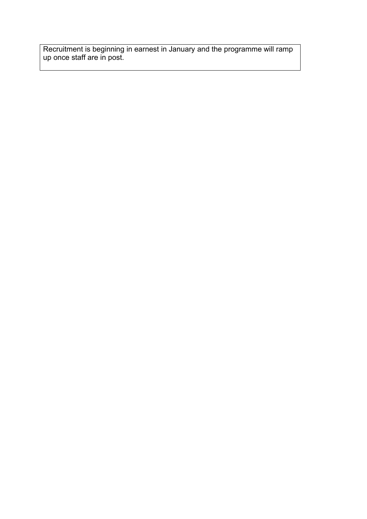Recruitment is beginning in earnest in January and the programme will ramp up once staff are in post.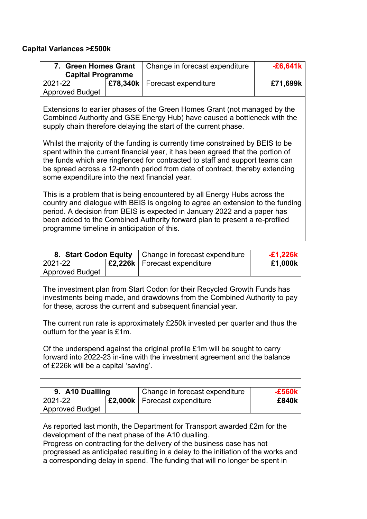#### **Capital Variances >£500k**

| <b>Green Homes Grant</b><br>7.<br><b>Capital Programme</b> |  | Change in forecast expenditure  | $-£6,641k$ |
|------------------------------------------------------------|--|---------------------------------|------------|
| 2021-22                                                    |  | £78,340k   Forecast expenditure | £71,699k   |
| <b>Approved Budget</b>                                     |  |                                 |            |

Extensions to earlier phases of the Green Homes Grant (not managed by the Combined Authority and GSE Energy Hub) have caused a bottleneck with the supply chain therefore delaying the start of the current phase.

Whilst the majority of the funding is currently time constrained by BEIS to be spent within the current financial year, it has been agreed that the portion of the funds which are ringfenced for contracted to staff and support teams can be spread across a 12-month period from date of contract, thereby extending some expenditure into the next financial year.

This is a problem that is being encountered by all Energy Hubs across the country and dialogue with BEIS is ongoing to agree an extension to the funding period. A decision from BEIS is expected in January 2022 and a paper has been added to the Combined Authority forward plan to present a re-profiled programme timeline in anticipation of this.

|                        |  | 8. Start Codon Equity   Change in forecast expenditure | $-£1,226k$ |
|------------------------|--|--------------------------------------------------------|------------|
| 2021-22                |  | <b>E2.226k</b>   Forecast expenditure                  | £1,000k    |
| <b>Approved Budget</b> |  |                                                        |            |

The investment plan from Start Codon for their Recycled Growth Funds has investments being made, and drawdowns from the Combined Authority to pay for these, across the current and subsequent financial year.

The current run rate is approximately £250k invested per quarter and thus the outturn for the year is £1m.

Of the underspend against the original profile £1m will be sought to carry forward into 2022-23 in-line with the investment agreement and the balance of £226k will be a capital 'saving'.

| 9. A10 Dualling                                                                                                                                                                                                                                                                                                                                                             |  | Change in forecast expenditure | $-£560k$ |  |  |  |
|-----------------------------------------------------------------------------------------------------------------------------------------------------------------------------------------------------------------------------------------------------------------------------------------------------------------------------------------------------------------------------|--|--------------------------------|----------|--|--|--|
| 2021-22                                                                                                                                                                                                                                                                                                                                                                     |  | £2,000k   Forecast expenditure | £840k    |  |  |  |
| <b>Approved Budget</b>                                                                                                                                                                                                                                                                                                                                                      |  |                                |          |  |  |  |
| As reported last month, the Department for Transport awarded £2m for the<br>development of the next phase of the A10 dualling.<br>Progress on contracting for the delivery of the business case has not<br>progressed as anticipated resulting in a delay to the initiation of the works and<br>a corresponding delay in spend. The funding that will no longer be spent in |  |                                |          |  |  |  |